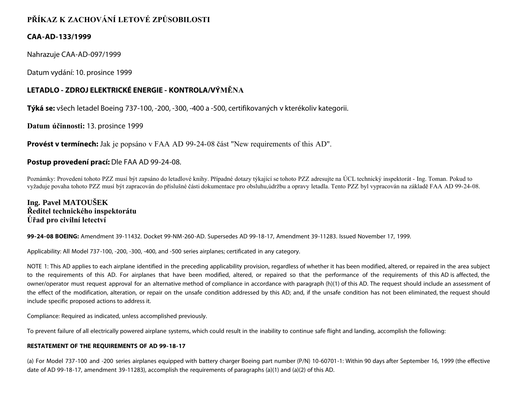# **PŘÍKAZ K ZACHOVÁNÍ LETOVÉ ZPŮSOBILOSTI**

## **CAA-AD-133/1999**

Nahrazuje CAA-AD-097/1999

Datum vydání: 10. prosince 1999

## **LETADLO - ZDROJ ELEKTRICKÉ ENERGIE - KONTROLA/VÝMĚNA**

**Týká se:** všech letadel Boeing 737-100, -200, -300, -400 a -500, certifikovaných v kterékoliv kategorii.

**Datum účinnosti:** 13. prosince 1999

**Provést v termínech:** Jak je popsáno v FAA AD 99-24-08 část "New requirements of this AD".

## **Postup provedení prací:** Dle FAA AD 99-24-08.

Poznámky: Provedení tohoto PZZ musí být zapsáno do letadlové knihy. Případné dotazy týkající se tohoto PZZ adresujte na ÚCL technický inspektorát - Ing. Toman. Pokud to vyžaduje povaha tohoto PZZ musí být zapracován do příslušné části dokumentace pro obsluhu,údržbu a opravy letadla. Tento PZZ byl vypracován na základě FAA AD 99-24-08.

## **Ing. Pavel MATOUŠEK Ředitel technického inspektorátu Úřad pro civilní letectví**

**99-24-08 BOEING:** Amendment 39-11432. Docket 99-NM-260-AD. Supersedes AD 99-18-17, Amendment 39-11283. Issued November 17, 1999.

Applicability: All Model 737-100, -200, -300, -400, and -500 series airplanes; certificated in any category.

NOTE 1: This AD applies to each airplane identified in the preceding applicability provision, regardless of whether it has been modified, altered, or repaired in the area subject to the requirements of this AD. For airplanes that have been modified, altered, or repaired so that the performance of the requirements of this AD is affected, the owner/operator must request approval for an alternative method of compliance in accordance with paragraph (h)(1) of this AD. The request should include an assessment of the effect of the modification, alteration, or repair on the unsafe condition addressed by this AD; and, if the unsafe condition has not been eliminated, the request should include specific proposed actions to address it.

Compliance: Required as indicated, unless accomplished previously.

To prevent failure of all electrically powered airplane systems, which could result in the inability to continue safe flight and landing, accomplish the following:

#### **RESTATEMENT OF THE REQUIREMENTS OF AD 99-18-17**

(a) For Model 737-100 and -200 series airplanes equipped with battery charger Boeing part number (P/N) 10-60701-1: Within 90 days after September 16, 1999 (the effective date of AD 99-18-17, amendment 39-11283), accomplish the requirements of paragraphs (a)(1) and (a)(2) of this AD.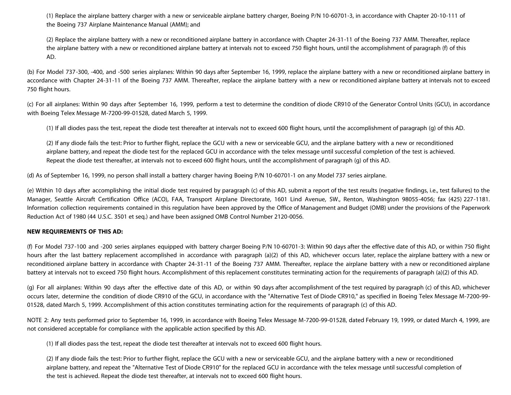(1) Replace the airplane battery charger with a new or serviceable airplane battery charger, Boeing P/N 10-60701-3, in accordance with Chapter 20-10-111 of the Boeing 737 Airplane Maintenance Manual (AMM); and

(2) Replace the airplane battery with a new or reconditioned airplane battery in accordance with Chapter 24-31-11 of the Boeing 737 AMM. Thereafter, replace the airplane battery with a new or reconditioned airplane battery at intervals not to exceed 750 flight hours, until the accomplishment of paragraph (f) of this AD.

(b) For Model 737-300, -400, and -500 series airplanes: Within 90 days after September 16, 1999, replace the airplane battery with a new or reconditioned airplane battery in accordance with Chapter 24-31-11 of the Boeing 737 AMM. Thereafter, replace the airplane battery with a new or reconditioned airplane battery at intervals not to exceed 750 flight hours.

(c) For all airplanes: Within 90 days after September 16, 1999, perform a test to determine the condition of diode CR910 of the Generator Control Units (GCU), in accordance with Boeing Telex Message M-7200-99-01528, dated March 5, 1999.

(1) If all diodes pass the test, repeat the diode test thereafter at intervals not to exceed 600 flight hours, until the accomplishment of paragraph (g) of this AD.

(2) If any diode fails the test: Prior to further flight, replace the GCU with a new or serviceable GCU, and the airplane battery with a new or reconditioned airplane battery, and repeat the diode test for the replaced GCU in accordance with the telex message until successful completion of the test is achieved. Repeat the diode test thereafter, at intervals not to exceed 600 flight hours, until the accomplishment of paragraph (g) of this AD.

(d) As of September 16, 1999, no person shall install a battery charger having Boeing P/N 10-60701-1 on any Model 737 series airplane.

(e) Within 10 days after accomplishing the initial diode test required by paragraph (c) of this AD, submit a report of the test results (negative findings, i.e., test failures) to the Manager, Seattle Aircraft Certification Office (ACO), FAA, Transport Airplane Directorate, 1601 Lind Avenue, SW., Renton, Washington 98055-4056; fax (425) 227-1181. Information collection requirements contained in this regulation have been approved by the Office of Management and Budget (OMB) under the provisions of the Paperwork Reduction Act of 1980 (44 U.S.C. 3501 et seq.) and have been assigned OMB Control Number 2120-0056.

#### **NEW REQUIREMENTS OF THIS AD:**

(f) For Model 737-100 and -200 series airplanes equipped with battery charger Boeing P/N 10-60701-3: Within 90 days after the effective date of this AD, or within 750 flight hours after the last battery replacement accomplished in accordance with paragraph (a)(2) of this AD, whichever occurs later, replace the airplane battery with a new or reconditioned airplane battery in accordance with Chapter 24-31-11 of the Boeing 737 AMM. Thereafter, replace the airplane battery with a new or reconditioned airplane battery at intervals not to exceed 750 flight hours. Accomplishment of this replacement constitutes terminating action for the requirements of paragraph (a)(2) of this AD.

(g) For all airplanes: Within 90 days after the effective date of this AD, or within 90 days after accomplishment of the test required by paragraph (c) of this AD, whichever occurs later, determine the condition of diode CR910 of the GCU, in accordance with the "Alternative Test of Diode CR910," as specified in Boeing Telex Message M-7200-99- 01528, dated March 5, 1999. Accomplishment of this action constitutes terminating action for the requirements of paragraph (c) of this AD.

NOTE 2: Any tests performed prior to September 16, 1999, in accordance with Boeing Telex Message M-7200-99-01528, dated February 19, 1999, or dated March 4, 1999, are not considered acceptable for compliance with the applicable action specified by this AD.

(1) If all diodes pass the test, repeat the diode test thereafter at intervals not to exceed 600 flight hours.

(2) If any diode fails the test: Prior to further flight, replace the GCU with a new or serviceable GCU, and the airplane battery with a new or reconditioned airplane battery, and repeat the "Alternative Test of Diode CR910" for the replaced GCU in accordance with the telex message until successful completion of the test is achieved. Repeat the diode test thereafter, at intervals not to exceed 600 flight hours.